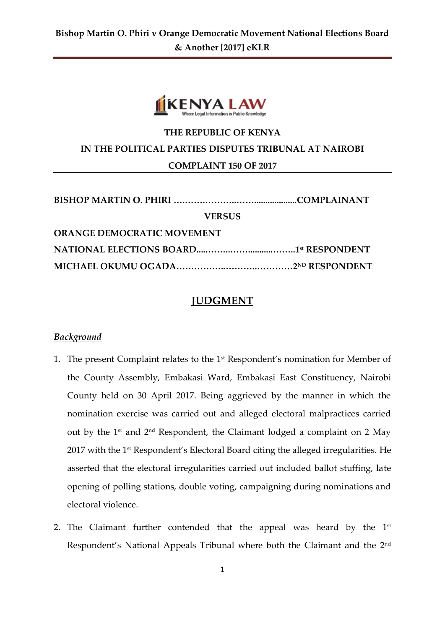

# **THE REPUBLIC OF KENYA IN THE POLITICAL PARTIES DISPUTES TRIBUNAL AT NAIROBI COMPLAINT 150 OF 2017**

| <b>VERSUS</b>                     |  |
|-----------------------------------|--|
| <b>ORANGE DEMOCRATIC MOVEMENT</b> |  |
|                                   |  |
|                                   |  |

# **JUDGMENT**

### *Background*

- 1. The present Complaint relates to the  $1<sup>st</sup>$  Respondent's nomination for Member of the County Assembly, Embakasi Ward, Embakasi East Constituency, Nairobi County held on 30 April 2017. Being aggrieved by the manner in which the nomination exercise was carried out and alleged electoral malpractices carried out by the 1st and 2nd Respondent, the Claimant lodged a complaint on 2 May 2017 with the 1<sup>st</sup> Respondent's Electoral Board citing the alleged irregularities. He asserted that the electoral irregularities carried out included ballot stuffing, late opening of polling stations, double voting, campaigning during nominations and electoral violence.
- 2. The Claimant further contended that the appeal was heard by the  $1<sup>st</sup>$ Respondent's National Appeals Tribunal where both the Claimant and the 2<sup>nd</sup>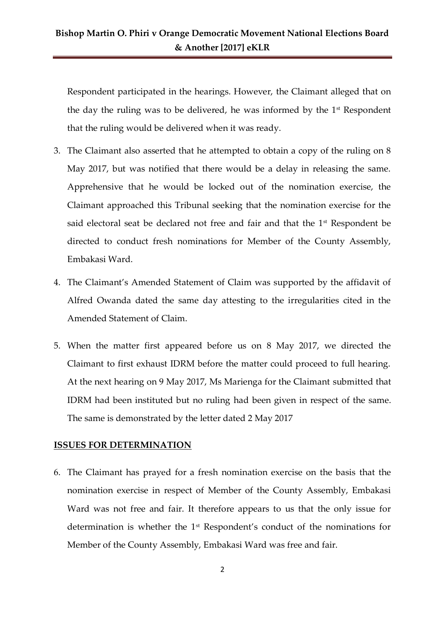## **Bishop Martin O. Phiri v Orange Democratic Movement National Elections Board & Another [2017] eKLR**

Respondent participated in the hearings. However, the Claimant alleged that on the day the ruling was to be delivered, he was informed by the  $1<sup>st</sup>$  Respondent that the ruling would be delivered when it was ready.

- 3. The Claimant also asserted that he attempted to obtain a copy of the ruling on 8 May 2017, but was notified that there would be a delay in releasing the same. Apprehensive that he would be locked out of the nomination exercise, the Claimant approached this Tribunal seeking that the nomination exercise for the said electoral seat be declared not free and fair and that the 1<sup>st</sup> Respondent be directed to conduct fresh nominations for Member of the County Assembly, Embakasi Ward.
- 4. The Claimant's Amended Statement of Claim was supported by the affidavit of Alfred Owanda dated the same day attesting to the irregularities cited in the Amended Statement of Claim.
- 5. When the matter first appeared before us on 8 May 2017, we directed the Claimant to first exhaust IDRM before the matter could proceed to full hearing. At the next hearing on 9 May 2017, Ms Marienga for the Claimant submitted that IDRM had been instituted but no ruling had been given in respect of the same. The same is demonstrated by the letter dated 2 May 2017

#### **ISSUES FOR DETERMINATION**

6. The Claimant has prayed for a fresh nomination exercise on the basis that the nomination exercise in respect of Member of the County Assembly, Embakasi Ward was not free and fair. It therefore appears to us that the only issue for determination is whether the 1st Respondent's conduct of the nominations for Member of the County Assembly, Embakasi Ward was free and fair.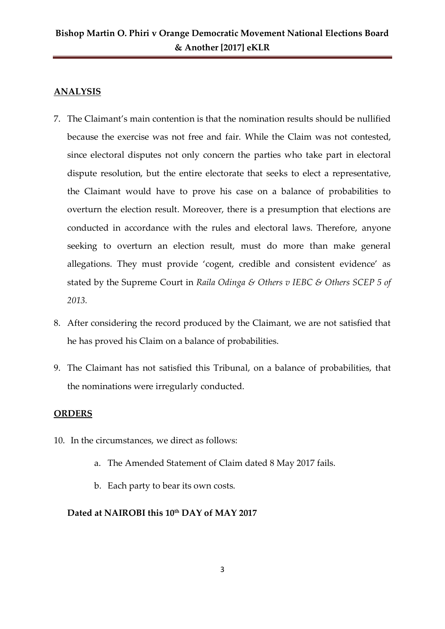## **ANALYSIS**

- 7. The Claimant's main contention is that the nomination results should be nullified because the exercise was not free and fair. While the Claim was not contested, since electoral disputes not only concern the parties who take part in electoral dispute resolution, but the entire electorate that seeks to elect a representative, the Claimant would have to prove his case on a balance of probabilities to overturn the election result. Moreover, there is a presumption that elections are conducted in accordance with the rules and electoral laws. Therefore, anyone seeking to overturn an election result, must do more than make general allegations. They must provide 'cogent, credible and consistent evidence' as stated by the Supreme Court in *Raila Odinga & Others v IEBC & Others SCEP 5 of 2013.*
- 8. After considering the record produced by the Claimant, we are not satisfied that he has proved his Claim on a balance of probabilities.
- 9. The Claimant has not satisfied this Tribunal, on a balance of probabilities, that the nominations were irregularly conducted.

### **ORDERS**

- 10. In the circumstances, we direct as follows:
	- a. The Amended Statement of Claim dated 8 May 2017 fails.
	- b. Each party to bear its own costs.

### **Dated at NAIROBI this 10th DAY of MAY 2017**